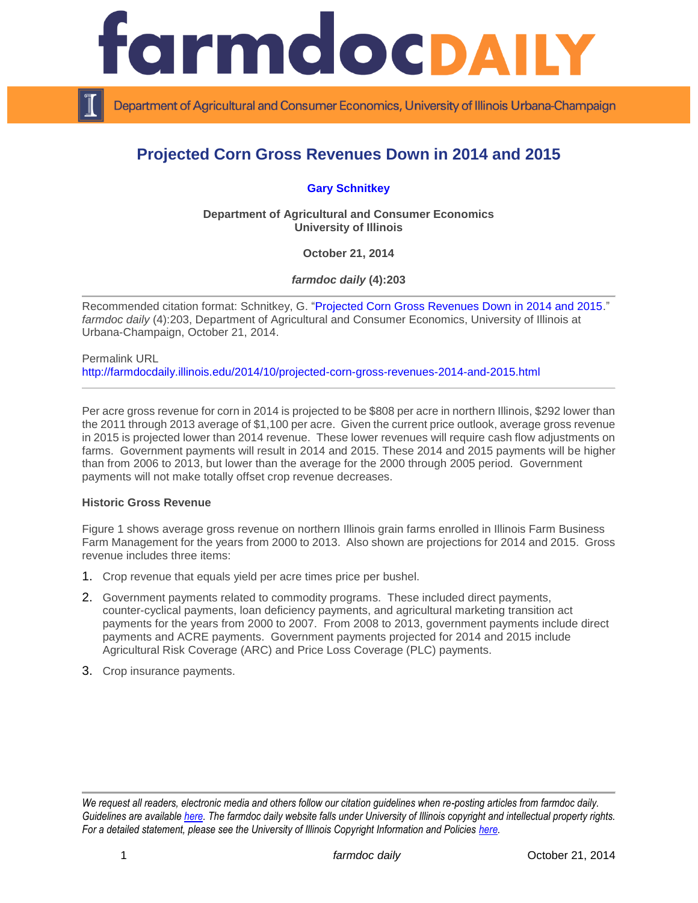

Department of Agricultural and Consumer Economics, University of Illinois Urbana-Champaign

# **Projected Corn Gross Revenues Down in 2014 and 2015**

# **[Gary Schnitkey](http://farmdoc.illinois.edu/schnitkey)**

**Department of Agricultural and Consumer Economics University of Illinois**

**October 21, 2014**

*farmdoc daily* **(4):203**

Recommended citation format: Schnitkey, G. ["Projected Corn Gross Revenues Down in 2014 and 2015.](http://farmdocdaily.illinois.edu/2014/10/projected-corn-gross-revenues-2014-and-2015.html)" *farmdoc daily* (4):203, Department of Agricultural and Consumer Economics, University of Illinois at Urbana-Champaign, October 21, 2014.

Permalink URL <http://farmdocdaily.illinois.edu/2014/10/projected-corn-gross-revenues-2014-and-2015.html>

Per acre gross revenue for corn in 2014 is projected to be \$808 per acre in northern Illinois, \$292 lower than the 2011 through 2013 average of \$1,100 per acre. Given the current price outlook, average gross revenue in 2015 is projected lower than 2014 revenue. These lower revenues will require cash flow adjustments on farms. Government payments will result in 2014 and 2015. These 2014 and 2015 payments will be higher than from 2006 to 2013, but lower than the average for the 2000 through 2005 period. Government payments will not make totally offset crop revenue decreases.

#### **Historic Gross Revenue**

Figure 1 shows average gross revenue on northern Illinois grain farms enrolled in Illinois Farm Business Farm Management for the years from 2000 to 2013. Also shown are projections for 2014 and 2015. Gross revenue includes three items:

- 1. Crop revenue that equals yield per acre times price per bushel.
- 2. Government payments related to commodity programs. These included direct payments, counter-cyclical payments, loan deficiency payments, and agricultural marketing transition act payments for the years from 2000 to 2007. From 2008 to 2013, government payments include direct payments and ACRE payments. Government payments projected for 2014 and 2015 include Agricultural Risk Coverage (ARC) and Price Loss Coverage (PLC) payments.
- 3. Crop insurance payments.

*We request all readers, electronic media and others follow our citation guidelines when re-posting articles from farmdoc daily. Guidelines are available [here.](http://farmdocdaily.illinois.edu/citationguide.html) The farmdoc daily website falls under University of Illinois copyright and intellectual property rights. For a detailed statement, please see the University of Illinois Copyright Information and Policies [here.](http://www.cio.illinois.edu/policies/copyright/)*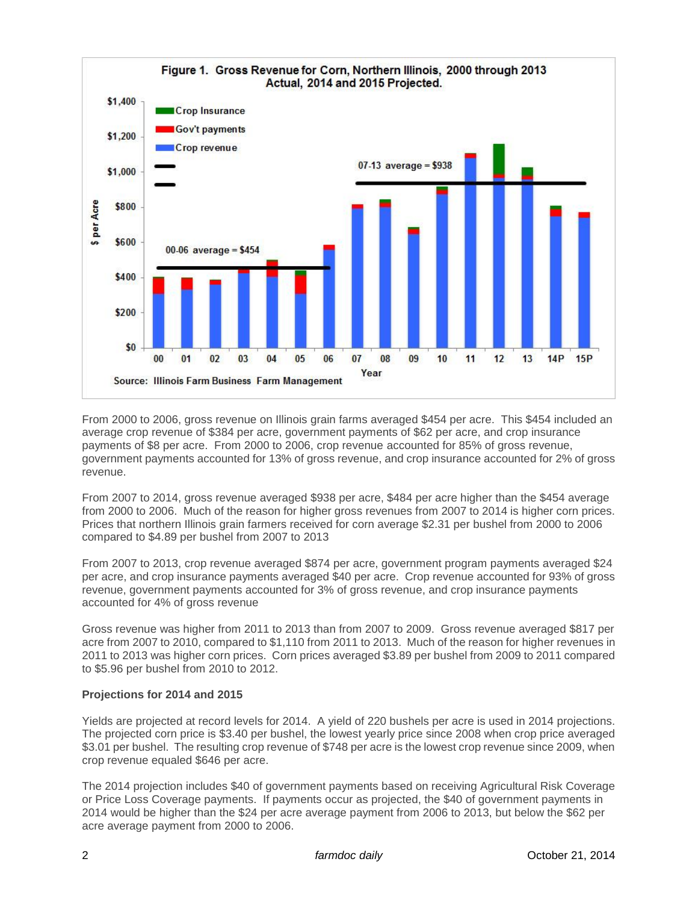

From 2000 to 2006, gross revenue on Illinois grain farms averaged \$454 per acre. This \$454 included an average crop revenue of \$384 per acre, government payments of \$62 per acre, and crop insurance payments of \$8 per acre. From 2000 to 2006, crop revenue accounted for 85% of gross revenue, government payments accounted for 13% of gross revenue, and crop insurance accounted for 2% of gross revenue.

From 2007 to 2014, gross revenue averaged \$938 per acre, \$484 per acre higher than the \$454 average from 2000 to 2006. Much of the reason for higher gross revenues from 2007 to 2014 is higher corn prices. Prices that northern Illinois grain farmers received for corn average \$2.31 per bushel from 2000 to 2006 compared to \$4.89 per bushel from 2007 to 2013

From 2007 to 2013, crop revenue averaged \$874 per acre, government program payments averaged \$24 per acre, and crop insurance payments averaged \$40 per acre. Crop revenue accounted for 93% of gross revenue, government payments accounted for 3% of gross revenue, and crop insurance payments accounted for 4% of gross revenue

Gross revenue was higher from 2011 to 2013 than from 2007 to 2009. Gross revenue averaged \$817 per acre from 2007 to 2010, compared to \$1,110 from 2011 to 2013. Much of the reason for higher revenues in 2011 to 2013 was higher corn prices. Corn prices averaged \$3.89 per bushel from 2009 to 2011 compared to \$5.96 per bushel from 2010 to 2012.

## **Projections for 2014 and 2015**

Yields are projected at record levels for 2014. A yield of 220 bushels per acre is used in 2014 projections. The projected corn price is \$3.40 per bushel, the lowest yearly price since 2008 when crop price averaged \$3.01 per bushel. The resulting crop revenue of \$748 per acre is the lowest crop revenue since 2009, when crop revenue equaled \$646 per acre.

The 2014 projection includes \$40 of government payments based on receiving Agricultural Risk Coverage or Price Loss Coverage payments. If payments occur as projected, the \$40 of government payments in 2014 would be higher than the \$24 per acre average payment from 2006 to 2013, but below the \$62 per acre average payment from 2000 to 2006.